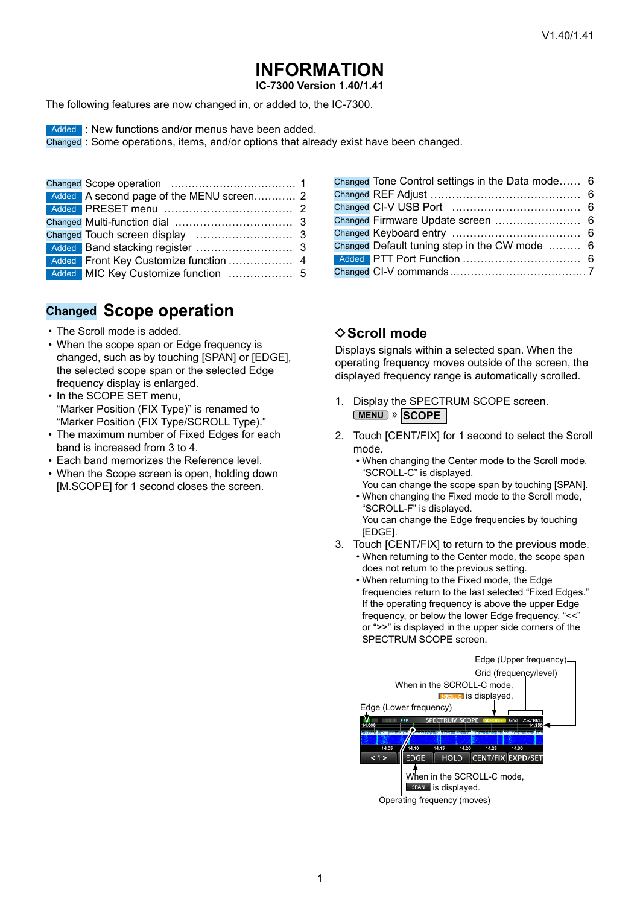## **INFORMATION**

IC-7300 Version 1.40/1.41

The following features are now changed in, or added to, the IC-7300.

Added : New functions and/or menus have been added.

Changed: Some operations, items, and/or options that already exist have been changed.

| Added Front Key Customize function  4 |  |
|---------------------------------------|--|
|                                       |  |

### **Changed Scope operation**

- The Scroll mode is added.
- When the scope span or Edge frequency is changed, such as by touching [SPAN] or [EDGE], the selected scope span or the selected Edge frequency display is enlarged.
- In the SCOPE SET menu, "Marker Position (FIX Type)" is renamed to "Marker Position (FIX Type/SCROLL Type)."
- The maximum number of Fixed Edges for each band is increased from 3 to 4.
- Each band memorizes the Reference level.
- When the Scope screen is open, holding down [M.SCOPE] for 1 second closes the screen.

| Changed Tone Control settings in the Data mode 6 |  |
|--------------------------------------------------|--|
|                                                  |  |
|                                                  |  |
| Changed Firmware Update screen  6                |  |
|                                                  |  |
| Changed Default tuning step in the CW mode  6    |  |
|                                                  |  |
|                                                  |  |

### $\diamond$  Scroll mode

Displays signals within a selected span. When the operating frequency moves outside of the screen, the displayed frequency range is automatically scrolled.

- 1. Display the SPECTRUM SCOPE screen. MENU » SCOPE
- 2. Touch [CENT/FIX] for 1 second to select the Scroll mode.
	- When changing the Center mode to the Scroll mode, "SCROLL-C" is displayed.
	- You can change the scope span by touching [SPAN]. • When changing the Fixed mode to the Scroll mode, "SCROLL-F" is displayed. You can change the Edge frequencies by touching [EDGE].
- 3. Touch [CENT/FIX] to return to the previous mode.
	- When returning to the Center mode, the scope span does not return to the previous setting.
	- When returning to the Fixed mode, the Edge frequencies return to the last selected "Fixed Edges." If the operating frequency is above the upper Edge frequency, or below the lower Edge frequency, "<<" or ">>" is displayed in the upper side corners of the SPECTRUM SCOPE screen.

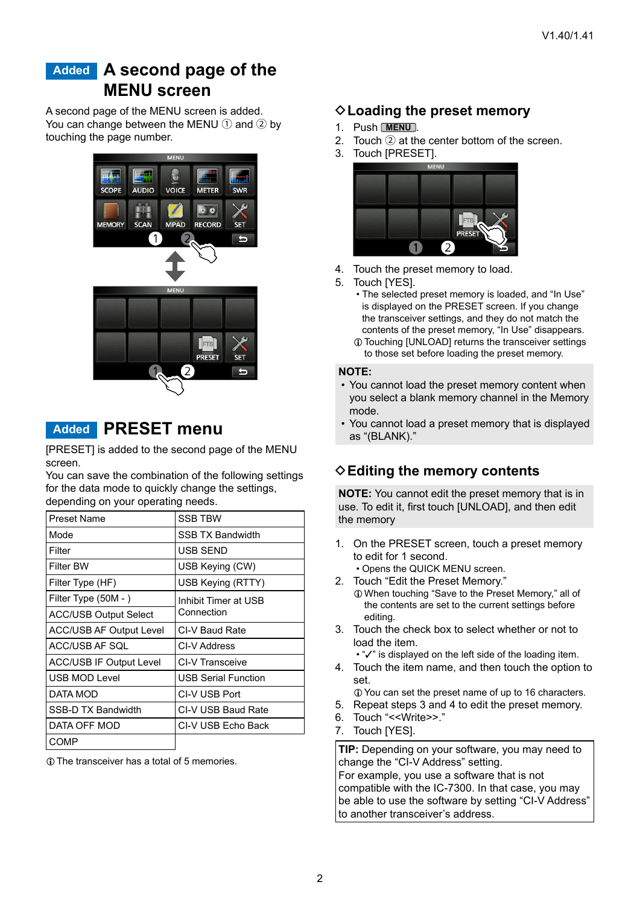## <span id="page-1-0"></span>**Added A second page of the MENU screen**

A second page of the MENU screen is added. You can change between the MENU  $(1)$  and  $(2)$  by touching the page number.



### **Added PRESET menu**

[PRESET] is added to the second page of the MENU screen.

You can save the combination of the following settings for the data mode to quickly change the settings, depending on your operating needs.

| <b>Preset Name</b>             | <b>SSB TBW</b>             |
|--------------------------------|----------------------------|
| Mode                           | <b>SSB TX Bandwidth</b>    |
| Filter                         | USB SEND                   |
| <b>Filter BW</b>               | USB Keying (CW)            |
| Filter Type (HF)               | USB Keying (RTTY)          |
| Filter Type (50M - )           | Inhibit Timer at USB       |
| <b>ACC/USB Output Select</b>   | Connection                 |
| <b>ACC/USB AF Output Level</b> | CI-V Baud Rate             |
| ACC/USB AF SOL                 | CI-V Address               |
| ACC/USB IF Output Level        | <b>CI-V Transceive</b>     |
| <b>USB MOD Level</b>           | <b>USB Serial Function</b> |
| DATA MOD                       | CI-V USB Port              |
| SSB-D TX Bandwidth             | CI-V USB Baud Rate         |
| DATA OFF MOD                   | CI-V USB Echo Back         |
| <b>COMP</b>                    |                            |

LThe transceiver has a total of 5 memories.

### **♦ Loading the preset memory**

- 1. Push **MENU** .
- 2. Touch  $(2)$  at the center bottom of the screen.
- 3. Touch [PRESET].



- 4. Touch the preset memory to load.
- 5. Touch [YES].
	- The selected preset memory is loaded, and "In Use" is displayed on the PRESET screen. If you change the transceiver settings, and they do not match the contents of the preset memory, "In Use" disappears.
	- LTouching [UNLOAD] returns the transceiver settings to those set before loading the preset memory.

#### **NOTE:**

- You cannot load the preset memory content when you select a blank memory channel in the Memory mode.
- You cannot load a preset memory that is displayed as "(BLANK)."

### **♦ Editing the memory contents**

**NOTE:** You cannot edit the preset memory that is in use. To edit it, first touch [UNLOAD], and then edit the memory

- 1. On the PRESET screen, touch a preset memory to edit for 1 second.
	- Opens the QUICK MENU screen.
- 2. Touch "Edit the Preset Memory." LWhen touching "Save to the Preset Memory," all of the contents are set to the current settings before editing.
- 3. Touch the check box to select whether or not to load the item.

• "✓" is displayed on the left side of the loading item.

- 4. Touch the item name, and then touch the option to set.
- LYou can set the preset name of up to 16 characters.
- 5. Repeat steps 3 and 4 to edit the preset memory.
- 6. Touch "<<Write>>."
- 7. Touch [YES].

**TIP:** Depending on your software, you may need to change the "CI-V Address" setting. For example, you use a software that is not compatible with the IC-7300. In that case, you may be able to use the software by setting "CI-V Address" to another transceiver's address.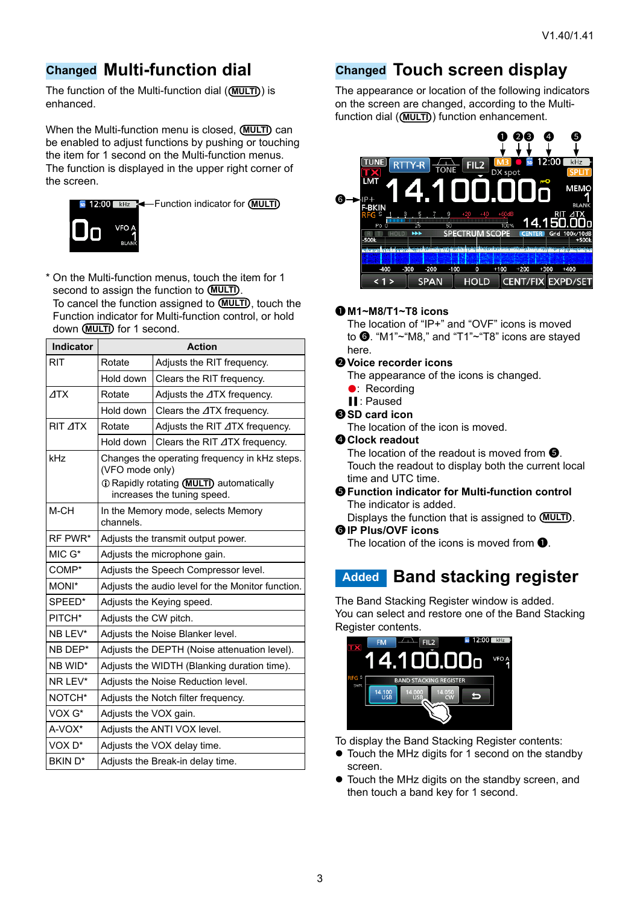### <span id="page-2-0"></span>**Changed Multi-function dial**

The function of the Multi-function dial ((**MULTI**)) is enhanced.

When the Multi-function menu is closed. **MULTI** can be enabled to adjust functions by pushing or touching the item for 1 second on the Multi-function menus. The function is displayed in the upper right corner of the screen.



\* On the Multi-function menus, touch the item for 1 second to assign the function to **(MULTI)**. To cancel the function assigned to **MULTI** , touch the Function indicator for Multi-function control, or hold down **MULTI** for 1 second.

| Indicator          | <b>Action</b>                                                                                                                                |                                        |  |  |
|--------------------|----------------------------------------------------------------------------------------------------------------------------------------------|----------------------------------------|--|--|
| <b>RIT</b>         | Rotate                                                                                                                                       | Adjusts the RIT frequency.             |  |  |
|                    | Hold down                                                                                                                                    | Clears the RIT frequency.              |  |  |
| ATX                | Rotate                                                                                                                                       | Adjusts the ⊿TX frequency.             |  |  |
|                    | Hold down                                                                                                                                    | Clears the ⊿TX frequency.              |  |  |
| RIT ATX            | Rotate                                                                                                                                       | Adjusts the RIT $\Delta$ TX frequency. |  |  |
|                    | Hold down                                                                                                                                    | Clears the RIT $\Delta$ TX frequency.  |  |  |
| kHz                | Changes the operating frequency in kHz steps.<br>(VFO mode only)<br>To Rapidly rotating (MULTI) automatically<br>increases the tuning speed. |                                        |  |  |
| M-CH               | channels.                                                                                                                                    | In the Memory mode, selects Memory     |  |  |
| RF PWR*            | Adjusts the transmit output power.                                                                                                           |                                        |  |  |
| $MIC G*$           | Adjusts the microphone gain.                                                                                                                 |                                        |  |  |
| COMP*              | Adjusts the Speech Compressor level.                                                                                                         |                                        |  |  |
| MONI*              | Adjusts the audio level for the Monitor function.                                                                                            |                                        |  |  |
| SPEED*             | Adjusts the Keying speed.                                                                                                                    |                                        |  |  |
| PITCH*             | Adjusts the CW pitch.                                                                                                                        |                                        |  |  |
| NB LEV*            | Adjusts the Noise Blanker level.                                                                                                             |                                        |  |  |
| NB DEP*            | Adjusts the DEPTH (Noise attenuation level).                                                                                                 |                                        |  |  |
| NB WID*            | Adjusts the WIDTH (Blanking duration time).                                                                                                  |                                        |  |  |
| NR LEV*            | Adjusts the Noise Reduction level.                                                                                                           |                                        |  |  |
| NOTCH*             | Adjusts the Notch filter frequency.                                                                                                          |                                        |  |  |
| VOX G*             | Adjusts the VOX gain.                                                                                                                        |                                        |  |  |
| A-VOX*             |                                                                                                                                              | Adjusts the ANTI VOX level.            |  |  |
| VOX <sub>D</sub> * | Adjusts the VOX delay time.                                                                                                                  |                                        |  |  |
| <b>BKIND*</b>      |                                                                                                                                              | Adjusts the Break-in delay time.       |  |  |

# **Changed Touch screen display**

The appearance or location of the following indicators on the screen are changed, according to the Multifunction dial ((MULTI)) function enhancement.



#### 1 **M1~M8/T1~T8 icons**

 The location of "IP+" and "OVF" icons is moved to  $\bullet$ . "M1"~"M8," and "T1"~"T8" icons are stayed here.

#### 2 **Voice recorder icons**

- The appearance of the icons is changed.
- Recording
- ▌▌: Paused
- **@SD card icon**

The location of the icon is moved.

#### **<sup>O</sup>** Clock readout

The location of the readout is moved from  $\bigcirc$ . Touch the readout to display both the current local time and UTC time.

#### $\Theta$  **Function indicator for Multi-function control** The indicator is added.

Displays the function that is assigned to **(MULTI)**.

### 6 **IP Plus/OVF icons**

The location of the icons is moved from  $\mathbf{0}$ .

### **Added Band stacking register**

The Band Stacking Register window is added. You can select and restore one of the Band Stacking Register contents.



To display the Band Stacking Register contents:

- Touch the MHz digits for 1 second on the standby screen.
- Touch the MHz digits on the standby screen, and then touch a band key for 1 second.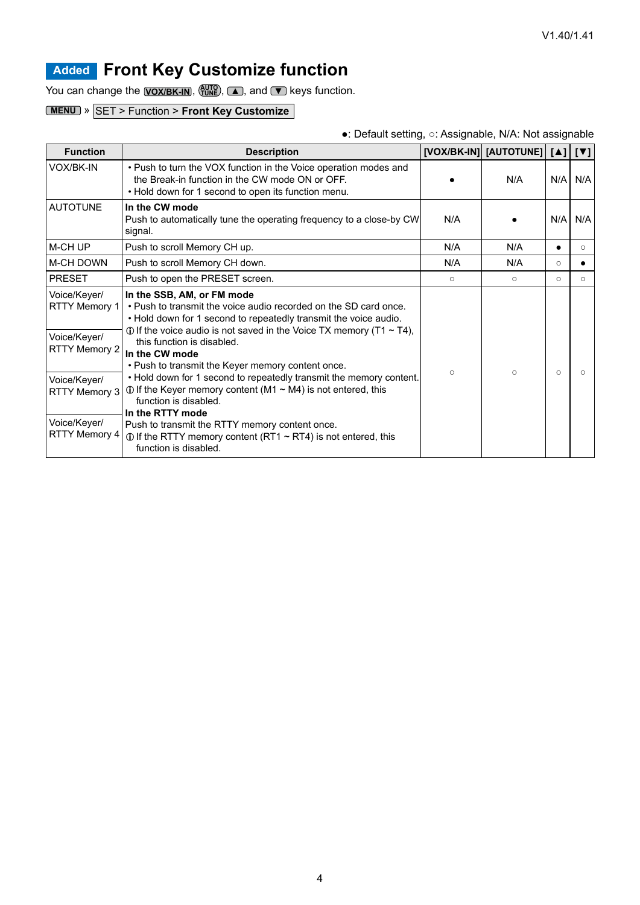# <span id="page-3-0"></span>**Added Front Key Customize function**

You can change the **VOX/BK-IN**,  $\frac{AUT}{T}$ , **△**, and ▼ keys function.

### **MENU** » SET > Function > **Front Key Customize**

#### ●: Default setting, ○: Assignable, N/A: Not assignable

| <b>Function</b>                                                                                                                                | <b>Description</b>                                                                                                                                                                                                                                                                                                                                                                                                                                                                                                                                                                                                                                                                                         |         | [VOX/BK-IN] [AUTOTUNE] [A]   [V] |          |         |
|------------------------------------------------------------------------------------------------------------------------------------------------|------------------------------------------------------------------------------------------------------------------------------------------------------------------------------------------------------------------------------------------------------------------------------------------------------------------------------------------------------------------------------------------------------------------------------------------------------------------------------------------------------------------------------------------------------------------------------------------------------------------------------------------------------------------------------------------------------------|---------|----------------------------------|----------|---------|
| VOX/BK-IN                                                                                                                                      | . Push to turn the VOX function in the Voice operation modes and<br>the Break-in function in the CW mode ON or OFF.<br>• Hold down for 1 second to open its function menu.                                                                                                                                                                                                                                                                                                                                                                                                                                                                                                                                 | N/A     |                                  | N/A      | N/A     |
| <b>AUTOTUNE</b>                                                                                                                                | In the CW mode<br>Push to automatically tune the operating frequency to a close-by CW<br>signal.                                                                                                                                                                                                                                                                                                                                                                                                                                                                                                                                                                                                           | N/A     |                                  | N/A      | N/A     |
| M-CH UP                                                                                                                                        | Push to scroll Memory CH up.                                                                                                                                                                                                                                                                                                                                                                                                                                                                                                                                                                                                                                                                               | N/A     | N/A                              |          | $\circ$ |
| <b>M-CH DOWN</b>                                                                                                                               | Push to scroll Memory CH down.                                                                                                                                                                                                                                                                                                                                                                                                                                                                                                                                                                                                                                                                             | N/A     | N/A                              | $\Omega$ |         |
| <b>PRESET</b>                                                                                                                                  | Push to open the PRESET screen.                                                                                                                                                                                                                                                                                                                                                                                                                                                                                                                                                                                                                                                                            | $\circ$ | $\circ$                          | $\circ$  | $\circ$ |
| Voice/Keyer/<br>RTTY Memory 1<br>Voice/Keyer/<br><b>RTTY Memory 2</b><br>Voice/Keyer/<br>RTTY Memory 3<br>Voice/Keyer/<br><b>RTTY Memory 4</b> | In the SSB, AM, or FM mode<br>. Push to transmit the voice audio recorded on the SD card once.<br>. Hold down for 1 second to repeatedly transmit the voice audio.<br>$\odot$ If the voice audio is not saved in the Voice TX memory (T1 $\sim$ T4),<br>this function is disabled.<br>In the CW mode<br>. Push to transmit the Keyer memory content once.<br>. Hold down for 1 second to repeatedly transmit the memory content.<br>$\odot$ If the Keyer memory content (M1 $\sim$ M4) is not entered, this<br>function is disabled.<br>In the RTTY mode<br>Push to transmit the RTTY memory content once.<br>$\odot$ If the RTTY memory content (RT1 ~ RT4) is not entered, this<br>function is disabled. | $\circ$ | $\circ$                          | $\Omega$ |         |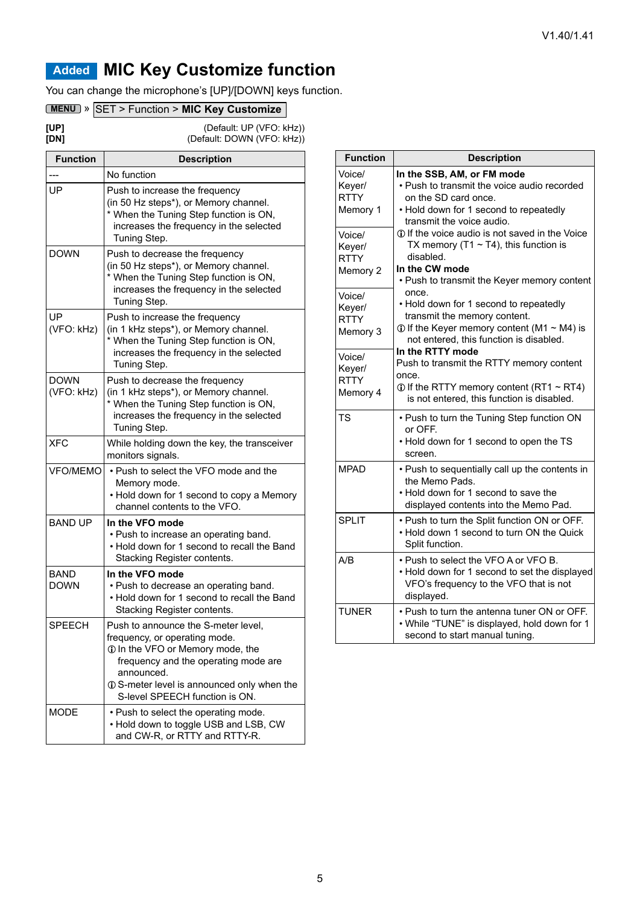# <span id="page-4-0"></span>**Added MIC Key Customize function**

You can change the microphone's [UP]/[DOWN] keys function.

### **MENU** » SET > Function > **MIC Key Customize**

| [UP] | (Default: UP (VFO: kHz))   |
|------|----------------------------|
| [DN] | (Default: DOWN (VFO: kHz)) |

| <b>Function</b>           | <b>Description</b>                                                                                                                                                                                                                              |
|---------------------------|-------------------------------------------------------------------------------------------------------------------------------------------------------------------------------------------------------------------------------------------------|
|                           | No function                                                                                                                                                                                                                                     |
| UP                        | Push to increase the frequency<br>(in 50 Hz steps*), or Memory channel.<br>* When the Tuning Step function is ON,<br>increases the frequency in the selected<br>Tuning Step.                                                                    |
| <b>DOWN</b>               | Push to decrease the frequency<br>(in 50 Hz steps*), or Memory channel.<br>* When the Tuning Step function is ON,<br>increases the frequency in the selected<br>Tuning Step.                                                                    |
| UP<br>(VFO: kHz)          | Push to increase the frequency<br>(in 1 kHz steps*), or Memory channel.<br>* When the Tuning Step function is ON,<br>increases the frequency in the selected<br>Tuning Step.                                                                    |
| <b>DOWN</b><br>(VFO: kHz) | Push to decrease the frequency<br>(in 1 kHz steps*), or Memory channel.<br>* When the Tuning Step function is ON,<br>increases the frequency in the selected<br>Tuning Step.                                                                    |
| <b>XFC</b>                | While holding down the key, the transceiver<br>monitors signals.                                                                                                                                                                                |
| <b>VFO/MEMO</b>           | • Push to select the VFO mode and the<br>Memory mode.<br>• Hold down for 1 second to copy a Memory<br>channel contents to the VFO.                                                                                                              |
| <b>BAND UP</b>            | In the VFO mode<br>• Push to increase an operating band.<br>. Hold down for 1 second to recall the Band<br>Stacking Register contents.                                                                                                          |
| BAND<br><b>DOWN</b>       | In the VFO mode<br>• Push to decrease an operating band.<br>• Hold down for 1 second to recall the Band<br>Stacking Register contents.                                                                                                          |
| <b>SPEECH</b>             | Push to announce the S-meter level,<br>frequency, or operating mode.<br>1 In the VFO or Memory mode, the<br>frequency and the operating mode are<br>announced.<br>10 S-meter level is announced only when the<br>S-level SPEECH function is ON. |
| <b>MODE</b>               | • Push to select the operating mode.<br>• Hold down to toggle USB and LSB, CW<br>and CW-R, or RTTY and RTTY-R.                                                                                                                                  |

| <b>Function</b> | <b>Description</b>                                    |
|-----------------|-------------------------------------------------------|
| Voice/          | In the SSB, AM, or FM mode                            |
| Keyer/          | • Push to transmit the voice audio recorded           |
| <b>RTTY</b>     | on the SD card once.                                  |
| Memory 1        | • Hold down for 1 second to repeatedly                |
|                 | transmit the voice audio.                             |
| Voice/          | 10 If the voice audio is not saved in the Voice       |
| Keyer/          | TX memory (T1 $\sim$ T4), this function is            |
| <b>RTTY</b>     | disabled.                                             |
| Memory 2        | In the CW mode                                        |
|                 | • Push to transmit the Keyer memory content           |
| Voice/          | once.                                                 |
| Keyer/          | • Hold down for 1 second to repeatedly                |
| <b>RTTY</b>     | transmit the memory content.                          |
| Memory 3        | $\odot$ If the Keyer memory content (M1 $\sim$ M4) is |
|                 | not entered, this function is disabled.               |
| Voice/          | In the RTTY mode                                      |
| Keyer/          | Push to transmit the RTTY memory content              |
| <b>RTTY</b>     | once.                                                 |
| Memory 4        | $\odot$ If the RTTY memory content (RT1 ~ RT4)        |
|                 | is not entered, this function is disabled.            |
| <b>TS</b>       | • Push to turn the Tuning Step function ON            |
|                 | or OFF.                                               |
|                 | • Hold down for 1 second to open the TS               |
|                 | screen.                                               |
| <b>MPAD</b>     | • Push to sequentially call up the contents in        |
|                 | the Memo Pads.                                        |
|                 | • Hold down for 1 second to save the                  |
|                 | displayed contents into the Memo Pad.                 |
| <b>SPLIT</b>    | . Push to turn the Split function ON or OFF.          |
|                 | . Hold down 1 second to turn ON the Quick             |
|                 | Split function.                                       |
| A/B             | • Push to select the VFO A or VFO B.                  |
|                 | • Hold down for 1 second to set the displayed         |
|                 | VFO's frequency to the VFO that is not                |
|                 | displayed.                                            |
| <b>TUNFR</b>    | . Push to turn the antenna tuner ON or OFF.           |
|                 | • While "TUNE" is displayed, hold down for 1          |
|                 | second to start manual tuning.                        |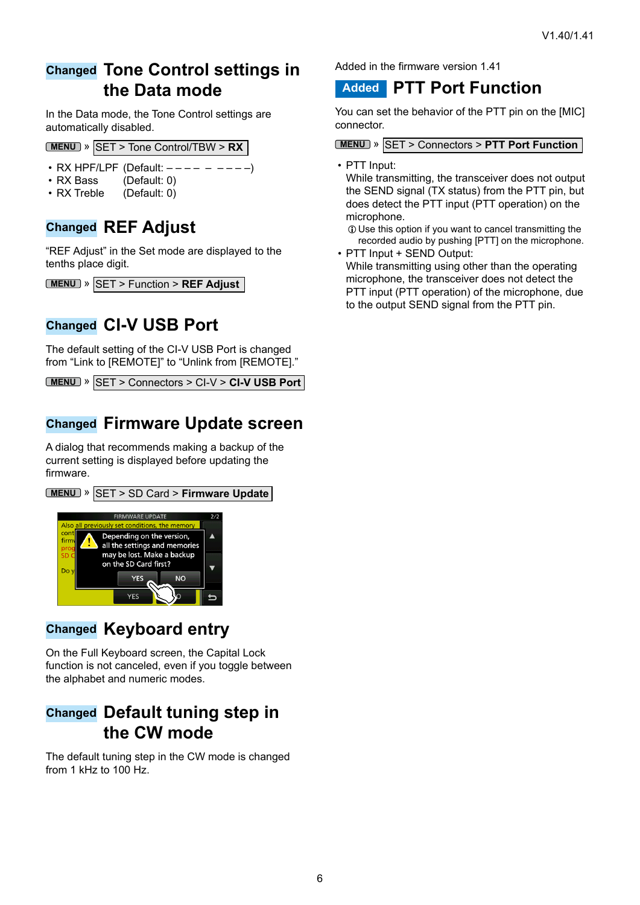### <span id="page-5-0"></span>**Changed Tone Control settings in the Data mode**

In the Data mode, the Tone Control settings are automatically disabled.

#### **MENU** » SET > Tone Control/TBW > **RX**

- RX HPF/LPF (Default:  $--- - - -$ )
- RX Bass (Default: 0)<br>• RX Treble (Default: 0)
- $(Definition 0)$

### **Changed REF Adjust**

"REF Adjust" in the Set mode are displayed to the tenths place digit.

|  | <b>MENU</b> » SET > Function > REF Adjust |
|--|-------------------------------------------|
|--|-------------------------------------------|

### **Changed CI-V USB Port**

The default setting of the CI-V USB Port is changed from "Link to [REMOTE]" to "Unlink from [REMOTE]."

```
MENU » SET > Connectors > CI-V > CI-V USB Port
```
### **Changed Firmware Update screen**

A dialog that recommends making a backup of the current setting is displayed before updating the firmware.



### **Changed Keyboard entry**

**YES** 

On the Full Keyboard screen, the Capital Lock function is not canceled, even if you toggle between the alphabet and numeric modes.

### **Changed Default tuning step in the CW mode**

The default tuning step in the CW mode is changed from 1 kHz to 100 Hz.

Added in the firmware version 1.41

### **Added PTT Port Function**

You can set the behavior of the PTT pin on the [MIC] connector.

**MENU** » SET > Connectors > **PTT Port Function**

• PTT Input:

While transmitting, the transceiver does not output the SEND signal (TX status) from the PTT pin, but does detect the PTT input (PTT operation) on the microphone.

LUse this option if you want to cancel transmitting the recorded audio by pushing [PTT] on the microphone.

• PTT Input + SEND Output: While transmitting using other than the operating microphone, the transceiver does not detect the PTT input (PTT operation) of the microphone, due to the output SEND signal from the PTT pin.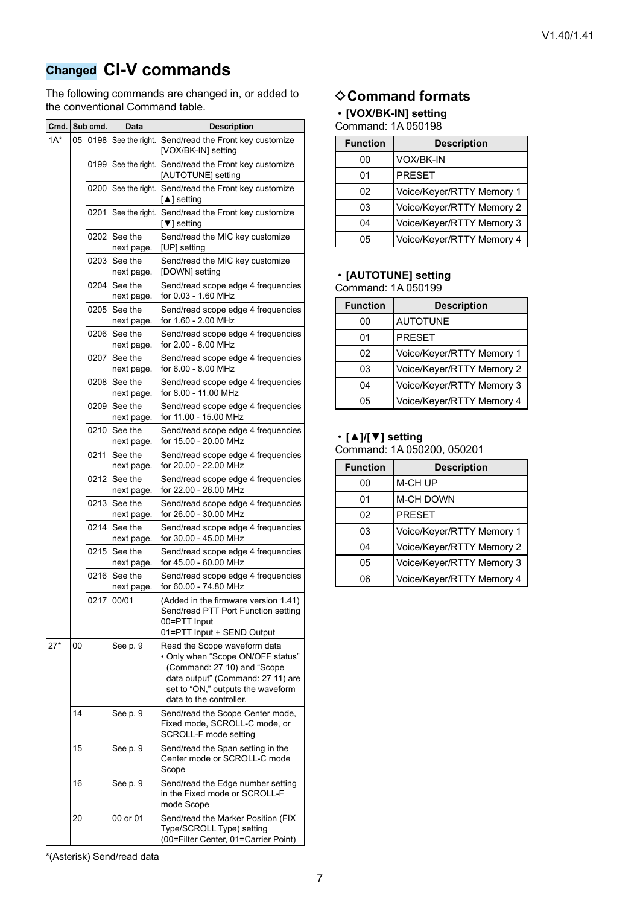# <span id="page-6-0"></span>**Changed CI-V commands**

The following commands are changed in, or added to the conventional Command table.

| Cmd.   | Sub cmd. |      | Data                         | <b>Description</b>                                                                                                                                                                                    |
|--------|----------|------|------------------------------|-------------------------------------------------------------------------------------------------------------------------------------------------------------------------------------------------------|
| $1A^*$ | 05       | 0198 | See the right.               | Send/read the Front key customize<br>[VOX/BK-IN] setting                                                                                                                                              |
|        |          | 0199 | See the right.               | Send/read the Front key customize<br>[AUTOTUNE] setting                                                                                                                                               |
|        |          |      | 0200   See the right.        | Send/read the Front key customize<br>$\lceil \blacktriangle \rceil$ setting                                                                                                                           |
|        |          | 0201 |                              | See the right. Send/read the Front key customize<br>[▼] setting                                                                                                                                       |
|        |          |      | 0202   See the<br>next page. | Send/read the MIC key customize<br>[UP] setting                                                                                                                                                       |
|        |          | 0203 | See the<br>next page.        | Send/read the MIC key customize<br>[DOWN] setting                                                                                                                                                     |
|        |          | 0204 | See the<br>next page.        | Send/read scope edge 4 frequencies<br>for 0.03 - 1.60 MHz                                                                                                                                             |
|        |          | 0205 | See the<br>next page.        | Send/read scope edge 4 frequencies<br>for 1.60 - 2.00 MHz                                                                                                                                             |
|        |          | 0206 | See the<br>next page.        | Send/read scope edge 4 frequencies<br>for 2.00 - 6.00 MHz                                                                                                                                             |
|        |          | 0207 | See the<br>next page.        | Send/read scope edge 4 frequencies<br>for 6.00 - 8.00 MHz                                                                                                                                             |
|        |          | 0208 | See the<br>next page.        | Send/read scope edge 4 frequencies<br>for 8.00 - 11.00 MHz                                                                                                                                            |
|        |          | 0209 | See the<br>next page.        | Send/read scope edge 4 frequencies<br>for 11.00 - 15.00 MHz                                                                                                                                           |
|        |          | 0210 | See the<br>next page.        | Send/read scope edge 4 frequencies<br>for 15.00 - 20.00 MHz                                                                                                                                           |
|        |          | 0211 | See the<br>next page.        | Send/read scope edge 4 frequencies<br>for 20.00 - 22.00 MHz                                                                                                                                           |
|        |          | 0212 | See the<br>next page.        | Send/read scope edge 4 frequencies<br>for 22.00 - 26.00 MHz                                                                                                                                           |
|        |          | 0213 | See the<br>next page.        | Send/read scope edge 4 frequencies<br>for 26.00 - 30.00 MHz                                                                                                                                           |
|        |          | 0214 | See the<br>next page.        | Send/read scope edge 4 frequencies<br>for 30.00 - 45.00 MHz                                                                                                                                           |
|        |          | 0215 | See the<br>next page.        | Send/read scope edge 4 frequencies<br>for 45.00 - 60.00 MHz                                                                                                                                           |
|        |          | 0216 | See the<br>next page.        | Send/read scope edge 4 frequencies<br>for 60.00 - 74.80 MHz                                                                                                                                           |
|        |          |      | 0217 00/01                   | $(Added$ in the firmware version 1.41)<br>Send/read PTT Port Function setting<br>00=PTT Input<br>01=PTT Input + SEND Output                                                                           |
| $27*$  | 00       |      | See p. 9                     | Read the Scope waveform data<br>• Only when "Scope ON/OFF status"<br>(Command: 27 10) and "Scope<br>data output" (Command: 27 11) are<br>set to "ON," outputs the waveform<br>data to the controller. |
|        | 14       |      | See p. 9                     | Send/read the Scope Center mode,<br>Fixed mode, SCROLL-C mode, or<br>SCROLL-F mode setting                                                                                                            |
|        | 15       |      | See p. 9                     | Send/read the Span setting in the<br>Center mode or SCROLL-C mode<br>Scope                                                                                                                            |
|        | 16       |      | See p. 9                     | Send/read the Edge number setting<br>in the Fixed mode or SCROLL-F<br>mode Scope                                                                                                                      |
|        | 20       |      | 00 or 01                     | Send/read the Marker Position (FIX<br>Type/SCROLL Type) setting<br>(00=Filter Center, 01=Carrier Point)                                                                                               |

### **♦ Command formats**

## • **[VOX/BK-IN] setting**

| Command: 1A 050198 |  |
|--------------------|--|
|                    |  |

| <b>Function</b> | <b>Description</b>        |
|-----------------|---------------------------|
| იი              | <b>VOX/BK-IN</b>          |
| 01              | <b>PRESET</b>             |
| 02              | Voice/Keyer/RTTY Memory 1 |
| 03              | Voice/Keyer/RTTY Memory 2 |
| 04              | Voice/Keyer/RTTY Memory 3 |
| 05              | Voice/Keyer/RTTY Memory 4 |

#### • **[AUTOTUNE] setting** Command: 1A 050199

| <b>Function</b> | <b>Description</b>        |
|-----------------|---------------------------|
| 00              | <b>AUTOTUNE</b>           |
| 01              | <b>PRESET</b>             |
| 02              | Voice/Keyer/RTTY Memory 1 |
| 03              | Voice/Keyer/RTTY Memory 2 |
| 04              | Voice/Keyer/RTTY Memory 3 |
| 05              | Voice/Keyer/RTTY Memory 4 |

### • **[▲]/[▼] setting**

Command: 1A 050200, 050201

| <b>Function</b> | <b>Description</b>        |
|-----------------|---------------------------|
| 00              | M-CH UP                   |
| 01              | <b>M-CH DOWN</b>          |
| 02              | <b>PRESET</b>             |
| 03              | Voice/Keyer/RTTY Memory 1 |
| 04              | Voice/Keyer/RTTY Memory 2 |
| 05              | Voice/Keyer/RTTY Memory 3 |
| റഭ              | Voice/Keyer/RTTY Memory 4 |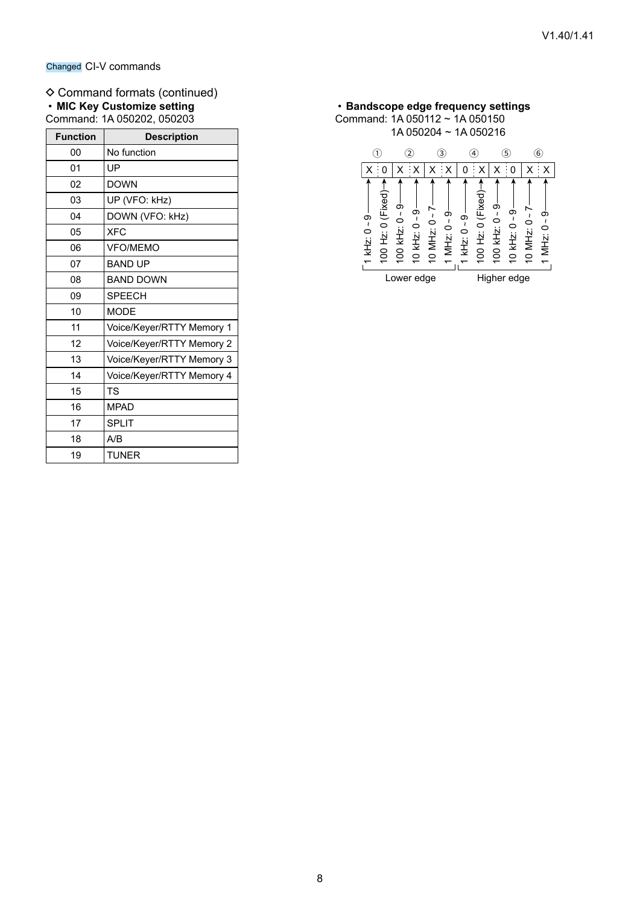#### $\diamond$  Command formats (continued) • **MIC Key Customize setting** Command: 1A 050202, 050203

| <b>Function</b> | <b>Description</b>        |  |  |
|-----------------|---------------------------|--|--|
| 00              | No function               |  |  |
| 01              | UP                        |  |  |
| 02              | <b>DOWN</b>               |  |  |
| 03              | UP (VFO: kHz)             |  |  |
| 04              | DOWN (VFO: kHz)           |  |  |
| 05              | <b>XFC</b>                |  |  |
| 06              | <b>VFO/MEMO</b>           |  |  |
| 07              | <b>BAND UP</b>            |  |  |
| 08              | <b>BAND DOWN</b>          |  |  |
| 09              | <b>SPEECH</b>             |  |  |
| 10              | <b>MODE</b>               |  |  |
| 11              | Voice/Keyer/RTTY Memory 1 |  |  |
| 12              | Voice/Keyer/RTTY Memory 2 |  |  |
| 13              | Voice/Keyer/RTTY Memory 3 |  |  |
| 14              | Voice/Keyer/RTTY Memory 4 |  |  |
| 15              | TS                        |  |  |
| 16              | <b>MPAD</b>               |  |  |
| 17              | <b>SPLIT</b>              |  |  |
| 18              | A/B                       |  |  |
| 19              | <b>TUNER</b>              |  |  |

#### • **Bandscope edge frequency settings** Command: 1A 050112 ~ 1A 050150 1A 050204 ~ 1A 050216

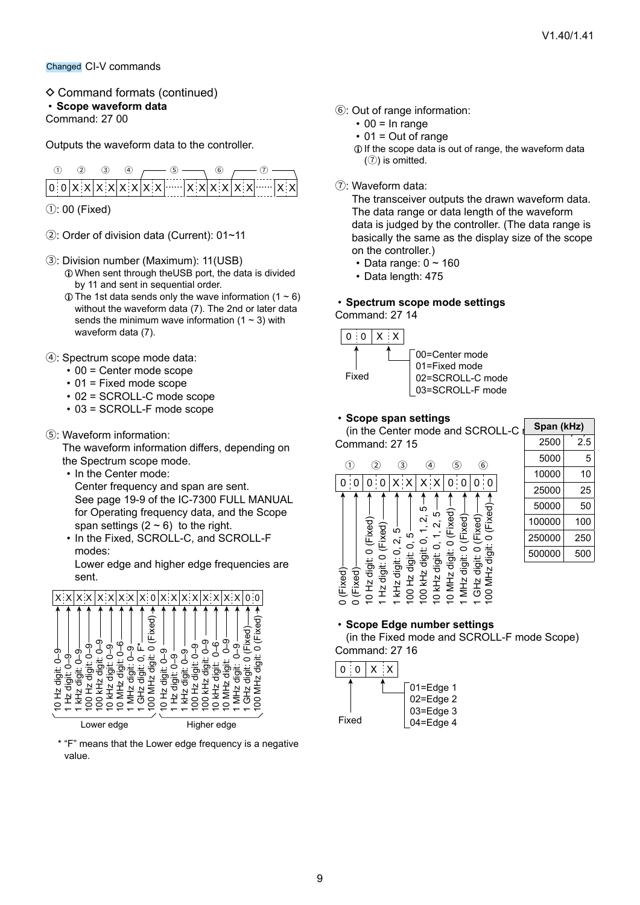- $\Diamond$  Command formats (continued)
- <span id="page-8-0"></span>• **Scope waveform data**

Command: 27 00

Outputs the waveform data to the controller.

|  | (4) |                                                                                                                                                                                                                                 |  |  |  |
|--|-----|---------------------------------------------------------------------------------------------------------------------------------------------------------------------------------------------------------------------------------|--|--|--|
|  |     | $\boxed{0 0 \mathbf{x} \mathbf{x} \mathbf{x} \mathbf{x} \mathbf{x} \mathbf{x} \mathbf{x} \mathbf{w} \mathbf{w} \mathbf{x} \mathbf{x} \mathbf{x} \mathbf{x} \mathbf{x} \mathbf{x} \mathbf{w} \mathbf{w} \mathbf{x} \mathbf{x} }$ |  |  |  |

 $(1)$ : 00 (Fixed)

- 2: Order of division data (Current): 01~11
- 3: Division number (Maximum): 11(USB) LWhen sent through theUSB port, the data is divided by 11 and sent in sequential order.
	- $\odot$  The 1st data sends only the wave information (1 ~ 6) without the waveform data (7). The 2nd or later data sends the minimum wave information  $(1 - 3)$  with waveform data (7).
- 4: Spectrum scope mode data:
	- 00 = Center mode scope
	- 01 = Fixed mode scope
	- 02 = SCROLL-C mode scope
	- 03 = SCROLL-F mode scope

#### 5: Waveform information:

The waveform information differs, depending on the Spectrum scope mode.

- In the Center mode: Center frequency and span are sent. See page 19-9 of the IC-7300 FULL MANUAL for Operating frequency data, and the Scope span settings  $(2 \sim 6)$  to the right.
- In the Fixed, SCROLL-C, and SCROLL-F modes:

Lower edge and higher edge frequencies are sent.



\* "F" means that the Lower edge frequency is a negative value.

- 6: Out of range information:
	- $\cdot$  00 = In range
		- $\cdot$  01 = Out of range
	- LIf the scope data is out of range, the waveform data  $(7)$  is omitted.
- 7: Waveform data:

The transceiver outputs the drawn waveform data. The data range or data length of the waveform data is judged by the controller. (The data range is basically the same as the display size of the scope on the controller.)

- Data range:  $0 \sim 160$
- Data length: 475

#### <span id="page-8-1"></span>• **Spectrum scope mode settings**





00=Center mode 01=Fixed mode 02=SCROLL-C mode 03=SCROLL-F mode

#### <span id="page-8-2"></span>• **Scope span settings**



#### <span id="page-8-3"></span>• **Scope Edge number settings**

(in the Fixed mode and SCROLL-F mode Scope) Command: 27 16



9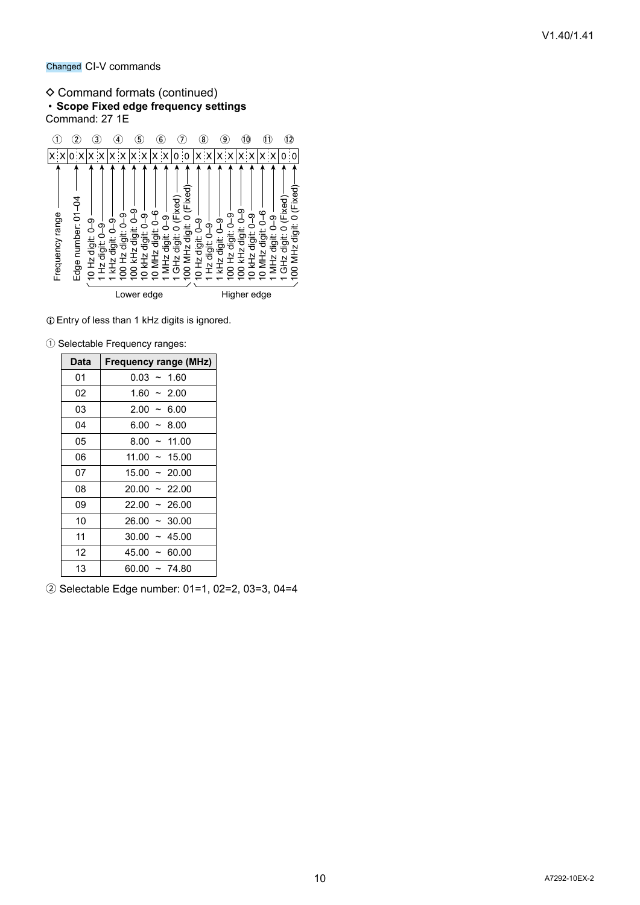Changed CI-V commands

#### $\diamond$  Command formats (continued) • **Scope Fixed edge frequency settings** Command: 27 1E



LEntry of less than 1 kHz digits is ignored.

|  | 1 Selectable Frequency ranges: |  |
|--|--------------------------------|--|
|  |                                |  |

| Data | Frequency range (MHz) |
|------|-----------------------|
| 01   | $0.03 - 1.60$         |
| 02   | $1.60 - 2.00$         |
| 03   | $2.00 \sim 6.00$      |
| 04   | $6.00 - 8.00$         |
| 05   | $8.00 - 11.00$        |
| 06   | $11.00 \sim 15.00$    |
| 07   | $15.00 \sim 20.00$    |
| 08   | $20.00 \sim 22.00$    |
| 09   | $22.00 \sim 26.00$    |
| 10   | $26.00 \sim 30.00$    |
| 11   | $30.00 \sim 45.00$    |
| 12   | $45.00 \sim 60.00$    |
| 13   | $60.00 \sim 74.80$    |

2 Selectable Edge number: 01=1, 02=2, 03=3, 04=4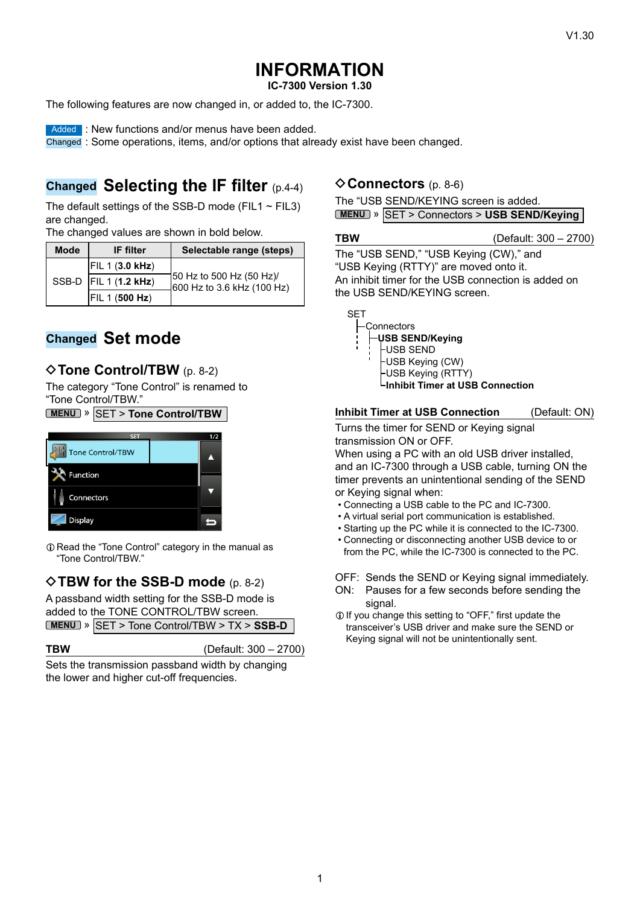# **INFORMATION**

**IC-7300 Version 1.30**

The following features are now changed in, or added to, the IC-7300.

**Added : New functions and/or menus have been added.** 

Changed : Some operations, items, and/or options that already exist have been changed.

### **Changed Selecting the IF filter** (p.4-4)

The default settings of the SSB-D mode (FIL1  $\sim$  FIL3) are changed.

The changed values are shown in bold below.

| <b>Mode</b> | <b>IF</b> filter          | Selectable range (steps)                               |
|-------------|---------------------------|--------------------------------------------------------|
|             | <b>FIL 1 (3.0 kHz)</b>    |                                                        |
|             | SSB-D   FIL 1 $(1.2$ kHz) | 50 Hz to 500 Hz (50 Hz)/<br>600 Hz to 3.6 kHz (100 Hz) |
|             | <b>FIL 1 (500 Hz)</b>     |                                                        |

### **Changed Set mode**

### ◆ Tone Control/TBW (p. 8-2)

The category "Tone Control" is renamed to "Tone Control/TBW."

**MENU** » SET > **Tone Control/TBW**



 $\odot$  Read the "Tone Control" category in the manual as "Tone Control/TBW."

### **♦ TBW for the SSB-D mode** (p. 8-2)

A passband width setting for the SSB-D mode is added to the TONE CONTROL/TBW screen. **MENU** » SET > Tone Control/TBW > TX > **SSB-D**

**TBW** (Default: 300 – 2700)

Sets the transmission passband width by changing the lower and higher cut-off frequencies.

### **◇ Connectors** (p. 8-6)

The "USB SEND/KEYING screen is added. **MENU** » SET > Connectors > USB SEND/Keying

#### **TBW** (Default: 300 – 2700)

The "USB SEND," "USB Keying (CW)," and "USB Keying (RTTY)" are moved onto it. An inhibit timer for the USB connection is added on the USB SEND/KEYING screen.

| SE I |            |
|------|------------|
|      | Connectors |
|      |            |

- **USB SEND/Keying** USB SEND USB Keying (CW) USB Keying (RTTY)
- **Inhibit Timer at USB Connection**

**Inhibit Timer at USB Connection** (Default: ON)

Turns the timer for SEND or Keying signal transmission ON or OFF.

When using a PC with an old USB driver installed, and an IC-7300 through a USB cable, turning ON the timer prevents an unintentional sending of the SEND or Keying signal when:

- Connecting a USB cable to the PC and IC-7300.
- A virtual serial port communication is established.
- Starting up the PC while it is connected to the IC-7300.
- Connecting or disconnecting another USB device to or from the PC, while the IC-7300 is connected to the PC.

OFF: Sends the SEND or Keying signal immediately.

- ON: Pauses for a few seconds before sending the signal.
- LIf you change this setting to "OFF," first update the transceiver's USB driver and make sure the SEND or Keying signal will not be unintentionally sent.